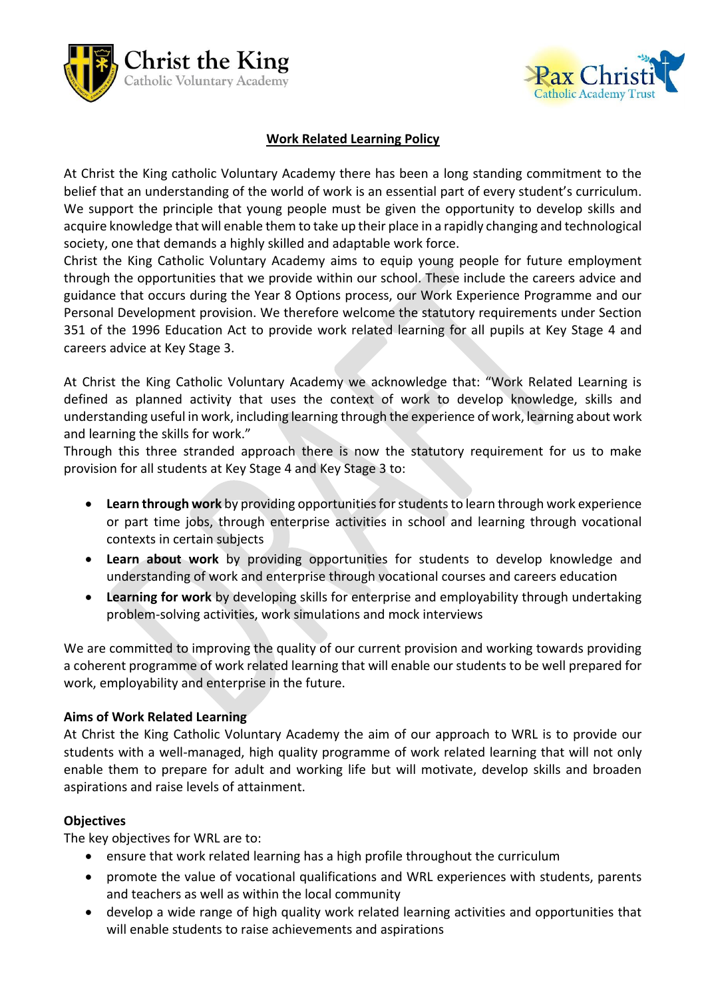



# **Work Related Learning Policy**

At Christ the King catholic Voluntary Academy there has been a long standing commitment to the belief that an understanding of the world of work is an essential part of every student's curriculum. We support the principle that young people must be given the opportunity to develop skills and acquire knowledge that will enable them to take up their place in a rapidly changing and technological society, one that demands a highly skilled and adaptable work force.

Christ the King Catholic Voluntary Academy aims to equip young people for future employment through the opportunities that we provide within our school. These include the careers advice and guidance that occurs during the Year 8 Options process, our Work Experience Programme and our Personal Development provision. We therefore welcome the statutory requirements under Section 351 of the 1996 Education Act to provide work related learning for all pupils at Key Stage 4 and careers advice at Key Stage 3.

At Christ the King Catholic Voluntary Academy we acknowledge that: "Work Related Learning is defined as planned activity that uses the context of work to develop knowledge, skills and understanding useful in work, including learning through the experience of work, learning about work and learning the skills for work."

Through this three stranded approach there is now the statutory requirement for us to make provision for all students at Key Stage 4 and Key Stage 3 to:

- **Learn through work** by providing opportunities for students to learn through work experience or part time jobs, through enterprise activities in school and learning through vocational contexts in certain subjects
- **Learn about work** by providing opportunities for students to develop knowledge and understanding of work and enterprise through vocational courses and careers education
- **Learning for work** by developing skills for enterprise and employability through undertaking problem-solving activities, work simulations and mock interviews

We are committed to improving the quality of our current provision and working towards providing a coherent programme of work related learning that will enable our students to be well prepared for work, employability and enterprise in the future.

## **Aims of Work Related Learning**

At Christ the King Catholic Voluntary Academy the aim of our approach to WRL is to provide our students with a well-managed, high quality programme of work related learning that will not only enable them to prepare for adult and working life but will motivate, develop skills and broaden aspirations and raise levels of attainment.

#### **Objectives**

The key objectives for WRL are to:

- ensure that work related learning has a high profile throughout the curriculum
- promote the value of vocational qualifications and WRL experiences with students, parents and teachers as well as within the local community
- develop a wide range of high quality work related learning activities and opportunities that will enable students to raise achievements and aspirations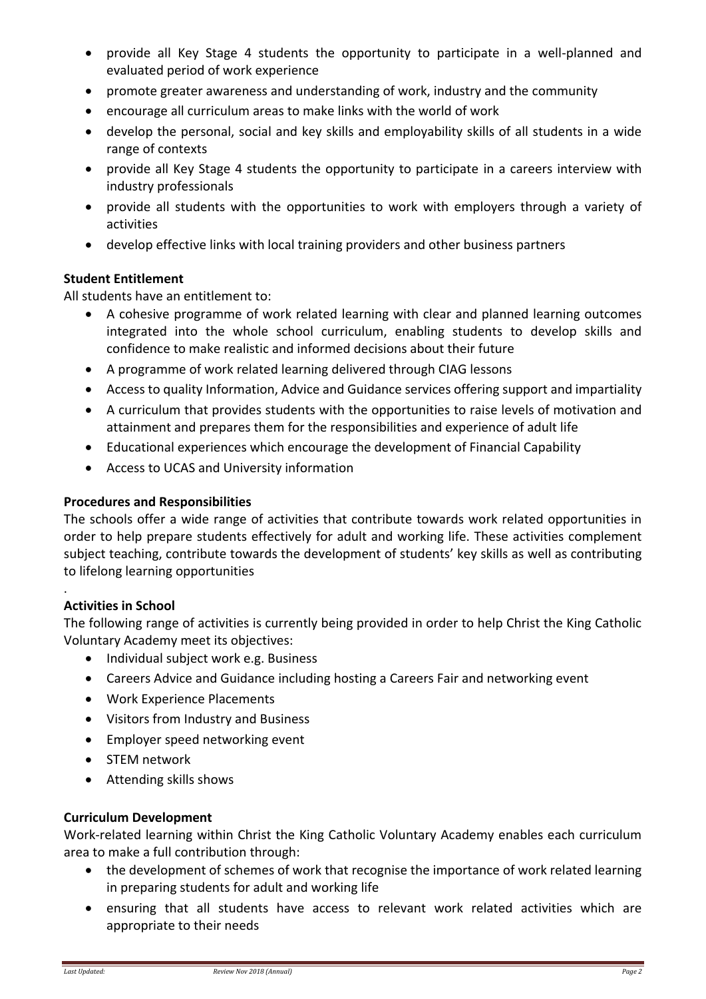- provide all Key Stage 4 students the opportunity to participate in a well-planned and evaluated period of work experience
- promote greater awareness and understanding of work, industry and the community
- encourage all curriculum areas to make links with the world of work
- develop the personal, social and key skills and employability skills of all students in a wide range of contexts
- provide all Key Stage 4 students the opportunity to participate in a careers interview with industry professionals
- provide all students with the opportunities to work with employers through a variety of activities
- develop effective links with local training providers and other business partners

## **Student Entitlement**

All students have an entitlement to:

- A cohesive programme of work related learning with clear and planned learning outcomes integrated into the whole school curriculum, enabling students to develop skills and confidence to make realistic and informed decisions about their future
- A programme of work related learning delivered through CIAG lessons
- Access to quality Information, Advice and Guidance services offering support and impartiality
- A curriculum that provides students with the opportunities to raise levels of motivation and attainment and prepares them for the responsibilities and experience of adult life
- Educational experiences which encourage the development of Financial Capability
- Access to UCAS and University information

### **Procedures and Responsibilities**

The schools offer a wide range of activities that contribute towards work related opportunities in order to help prepare students effectively for adult and working life. These activities complement subject teaching, contribute towards the development of students' key skills as well as contributing to lifelong learning opportunities

## **Activities in School**

.

The following range of activities is currently being provided in order to help Christ the King Catholic Voluntary Academy meet its objectives:

- Individual subject work e.g. Business
- Careers Advice and Guidance including hosting a Careers Fair and networking event
- Work Experience Placements
- Visitors from Industry and Business
- Employer speed networking event
- STEM network
- Attending skills shows

## **Curriculum Development**

Work-related learning within Christ the King Catholic Voluntary Academy enables each curriculum area to make a full contribution through:

- the development of schemes of work that recognise the importance of work related learning in preparing students for adult and working life
- ensuring that all students have access to relevant work related activities which are appropriate to their needs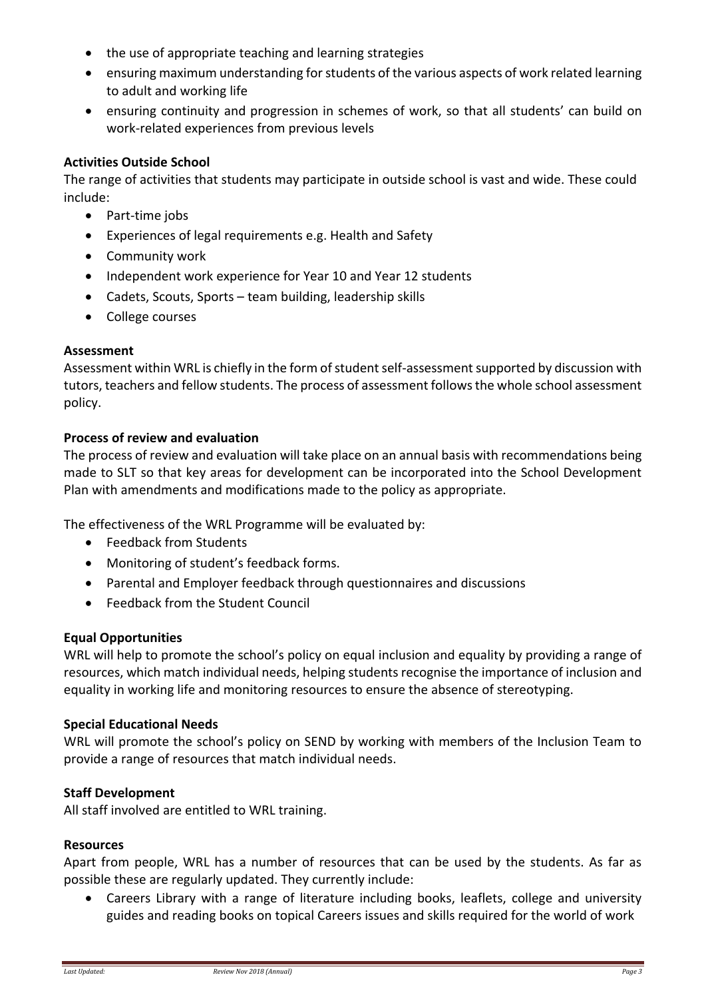- the use of appropriate teaching and learning strategies
- ensuring maximum understanding for students of the various aspects of work related learning to adult and working life
- ensuring continuity and progression in schemes of work, so that all students' can build on work-related experiences from previous levels

### **Activities Outside School**

The range of activities that students may participate in outside school is vast and wide. These could include:

- Part-time jobs
- Experiences of legal requirements e.g. Health and Safety
- Community work
- Independent work experience for Year 10 and Year 12 students
- Cadets, Scouts, Sports team building, leadership skills
- College courses

### **Assessment**

Assessment within WRL is chiefly in the form of student self-assessment supported by discussion with tutors, teachers and fellow students. The process of assessment follows the whole school assessment policy.

### **Process of review and evaluation**

The process of review and evaluation will take place on an annual basis with recommendations being made to SLT so that key areas for development can be incorporated into the School Development Plan with amendments and modifications made to the policy as appropriate.

The effectiveness of the WRL Programme will be evaluated by:

- Feedback from Students
- Monitoring of student's feedback forms.
- Parental and Employer feedback through questionnaires and discussions
- Feedback from the Student Council

## **Equal Opportunities**

WRL will help to promote the school's policy on equal inclusion and equality by providing a range of resources, which match individual needs, helping students recognise the importance of inclusion and equality in working life and monitoring resources to ensure the absence of stereotyping.

#### **Special Educational Needs**

WRL will promote the school's policy on SEND by working with members of the Inclusion Team to provide a range of resources that match individual needs.

#### **Staff Development**

All staff involved are entitled to WRL training.

#### **Resources**

Apart from people, WRL has a number of resources that can be used by the students. As far as possible these are regularly updated. They currently include:

 Careers Library with a range of literature including books, leaflets, college and university guides and reading books on topical Careers issues and skills required for the world of work